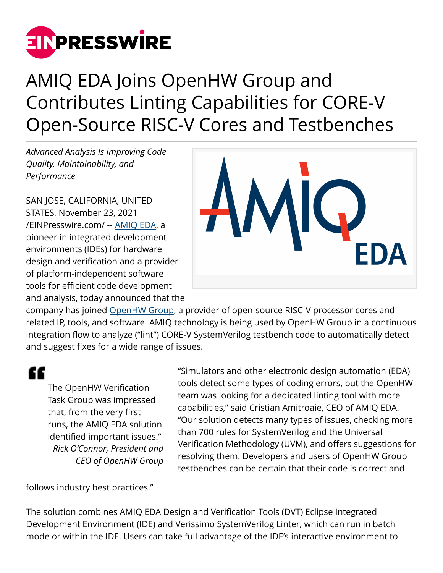

## AMIQ EDA Joins OpenHW Group and Contributes Linting Capabilities for CORE-V Open-Source RISC-V Cores and Testbenches

*Advanced Analysis Is Improving Code Quality, Maintainability, and Performance*

SAN JOSE, CALIFORNIA, UNITED STATES, November 23, 2021 [/EINPresswire.com/](http://www.einpresswire.com) -- [AMIQ EDA,](https://www.dvteclipse.com) a pioneer in integrated development environments (IDEs) for hardware design and verification and a provider of platform-independent software tools for efficient code development and analysis, today announced that the



company has joined [OpenHW Group](https://www.openhwgroup.org), a provider of open-source RISC-V processor cores and related IP, tools, and software. AMIQ technology is being used by OpenHW Group in a continuous integration flow to analyze ("lint") CORE-V SystemVerilog testbench code to automatically detect and suggest fixes for a wide range of issues.

££

The OpenHW Verification Task Group was impressed that, from the very first runs, the AMIQ EDA solution identified important issues." *Rick O'Connor, President and CEO of OpenHW Group*

"Simulators and other electronic design automation (EDA) tools detect some types of coding errors, but the OpenHW team was looking for a dedicated linting tool with more capabilities," said Cristian Amitroaie, CEO of AMIQ EDA. "Our solution detects many types of issues, checking more than 700 rules for SystemVerilog and the Universal Verification Methodology (UVM), and offers suggestions for resolving them. Developers and users of OpenHW Group testbenches can be certain that their code is correct and

follows industry best practices."

The solution combines AMIQ EDA Design and Verification Tools (DVT) Eclipse Integrated Development Environment (IDE) and Verissimo SystemVerilog Linter, which can run in batch mode or within the IDE. Users can take full advantage of the IDE's interactive environment to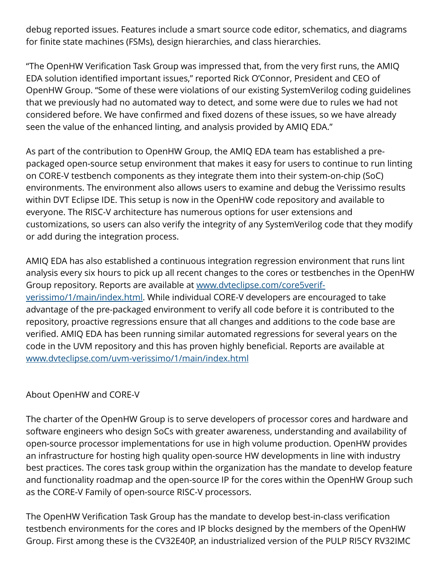debug reported issues. Features include a smart source code editor, schematics, and diagrams for finite state machines (FSMs), design hierarchies, and class hierarchies.

"The OpenHW Verification Task Group was impressed that, from the very first runs, the AMIQ EDA solution identified important issues," reported Rick O'Connor, President and CEO of OpenHW Group. "Some of these were violations of our existing SystemVerilog coding guidelines that we previously had no automated way to detect, and some were due to rules we had not considered before. We have confirmed and fixed dozens of these issues, so we have already seen the value of the enhanced linting, and analysis provided by AMIQ EDA."

As part of the contribution to OpenHW Group, the AMIQ EDA team has established a prepackaged open-source setup environment that makes it easy for users to continue to run linting on CORE-V testbench components as they integrate them into their system-on-chip (SoC) environments. The environment also allows users to examine and debug the Verissimo results within DVT Eclipse IDE. This setup is now in the OpenHW code repository and available to everyone. The RISC-V architecture has numerous options for user extensions and customizations, so users can also verify the integrity of any SystemVerilog code that they modify or add during the integration process.

AMIQ EDA has also established a continuous integration regression environment that runs lint analysis every six hours to pick up all recent changes to the cores or testbenches in the OpenHW Group repository. Reports are available at [www.dvteclipse.com/core5verif](http://www.dvteclipse.com/core5verif-verissimo/1/main/index.html)[verissimo/1/main/index.html](http://www.dvteclipse.com/core5verif-verissimo/1/main/index.html). While individual CORE-V developers are encouraged to take advantage of the pre-packaged environment to verify all code before it is contributed to the repository, proactive regressions ensure that all changes and additions to the code base are verified. AMIQ EDA has been running similar automated regressions for several years on the code in the UVM repository and this has proven highly beneficial. Reports are available at [www.dvteclipse.com/uvm-verissimo/1/main/index.html](http://www.dvteclipse.com/uvm-verissimo/1/main/index.html)

## About OpenHW and CORE-V

The charter of the OpenHW Group is to serve developers of processor cores and hardware and software engineers who design SoCs with greater awareness, understanding and availability of open-source processor implementations for use in high volume production. OpenHW provides an infrastructure for hosting high quality open-source HW developments in line with industry best practices. The cores task group within the organization has the mandate to develop feature and functionality roadmap and the open-source IP for the cores within the OpenHW Group such as the CORE-V Family of open-source RISC-V processors.

The OpenHW Verification Task Group has the mandate to develop best-in-class verification testbench environments for the cores and IP blocks designed by the members of the OpenHW Group. First among these is the CV32E40P, an industrialized version of the PULP RI5CY RV32IMC